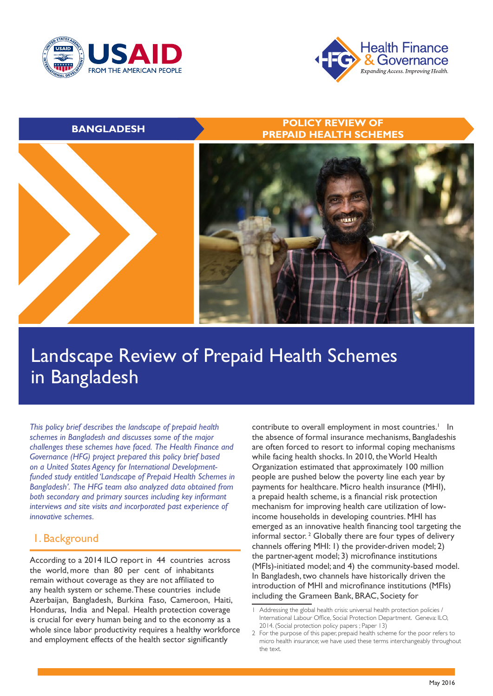



### **BANGLADESH POLICY REVIEW OF PREPAID HEALTH SCHEMES**



# Landscape Review of Prepaid Health Schemes in Bangladesh

*This policy brief describes the landscape of prepaid health schemes in Bangladesh and discusses some of the major challenges these schemes have faced. The Health Finance and Governance (HFG) project prepared this policy brief based on a United States Agency for International Developmentfunded study entitled 'Landscape of Prepaid Health Schemes in Bangladesh'. The HFG team also analyzed data obtained from both secondary and primary sources including key informant interviews and site visits and incorporated past experience of innovative schemes.* 

# 1. Background

According to a 2014 ILO report in 44 countries across the world, more than 80 per cent of inhabitants remain without coverage as they are not affiliated to any health system or scheme. These countries include Azerbaijan, Bangladesh, Burkina Faso, Cameroon, Haiti, Honduras, India and Nepal. Health protection coverage is crucial for every human being and to the economy as a whole since labor productivity requires a healthy workforce and employment effects of the health sector significantly

contribute to overall employment in most countries.<sup>1</sup> In the absence of formal insurance mechanisms, Bangladeshis are often forced to resort to informal coping mechanisms while facing health shocks. In 2010, the World Health Organization estimated that approximately 100 million people are pushed below the poverty line each year by payments for healthcare. Micro health insurance (MHI), a prepaid health scheme, is a financial risk protection mechanism for improving health care utilization of lowincome households in developing countries. MHI has emerged as an innovative health financing tool targeting the informal sector.<sup>2</sup> Globally there are four types of delivery channels offering MHI: 1) the provider-driven model; 2) the partner-agent model; 3) microfinance institutions (MFIs)-initiated model; and 4) the community-based model. In Bangladesh, two channels have historically driven the introduction of MHI and microfinance institutions (MFIs) including the Grameen Bank, BRAC, Society for

<sup>1</sup> Addressing the global health crisis: universal health protection policies / International Labour Office, Social Protection Department. Geneva: ILO, 2014. (Social protection policy papers ; Paper 13)

<sup>2</sup> For the purpose of this paper, prepaid health scheme for the poor refers to micro health insurance; we have used these terms interchangeably throughout the text.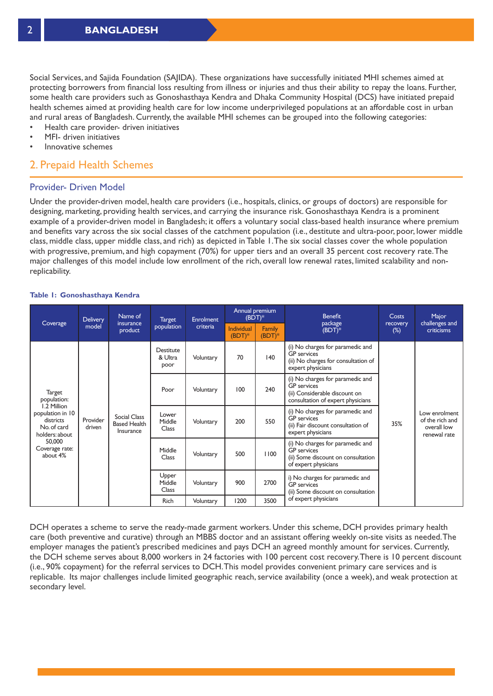Social Services, and Sajida Foundation (SAJIDA). These organizations have successfully initiated MHI schemes aimed at protecting borrowers from financial loss resulting from illness or injuries and thus their ability to repay the loans. Further, some health care providers such as Gonoshasthaya Kendra and Dhaka Community Hospital (DCS) have initiated prepaid health schemes aimed at providing health care for low income underprivileged populations at an affordable cost in urban and rural areas of Bangladesh. Currently, the available MHI schemes can be grouped into the following categories:

- Health care provider- driven initiatives
- MFI- driven initiatives
- Innovative schemes

# 2. Prepaid Health Schemes

#### Provider- Driven Model

Under the provider-driven model, health care providers (i.e., hospitals, clinics, or groups of doctors) are responsible for designing, marketing, providing health services, and carrying the insurance risk. Gonoshasthaya Kendra is a prominent example of a provider-driven model in Bangladesh; it offers a voluntary social class-based health insurance where premium and benefits vary across the six social classes of the catchment population (i.e., destitute and ultra-poor, poor, lower middle class, middle class, upper middle class, and rich) as depicted in Table 1. The six social classes cover the whole population with progressive, premium, and high copayment (70%) for upper tiers and an overall 35 percent cost recovery rate. The major challenges of this model include low enrollment of the rich, overall low renewal rates, limited scalability and nonreplicability.

#### **Table 1: Gonoshasthaya Kendra**

|                                                                                                                                                | Delivery           | Name of<br>insurance<br>product                  | <b>Target</b>                | <b>Enrolment</b> | Annual premium<br>$(BDT)*$    |                    | <b>Benefit</b>                                                                                                               | <b>Costs</b>       | Major                                                           |
|------------------------------------------------------------------------------------------------------------------------------------------------|--------------------|--------------------------------------------------|------------------------------|------------------|-------------------------------|--------------------|------------------------------------------------------------------------------------------------------------------------------|--------------------|-----------------------------------------------------------------|
| Coverage                                                                                                                                       | model              |                                                  | population                   | criteria         | <b>Individual</b><br>$(BDT)*$ | Family<br>$(BDT)*$ | package<br>$(BDT)*$                                                                                                          | recovery<br>$(\%)$ | challenges and<br>criticisms                                    |
| Target<br>population:<br>1.2 Million<br>population in 10<br>districts<br>No. of card<br>holders: about<br>50,000<br>Coverage rate:<br>about 4% | Provider<br>driven | Social Class<br><b>Based Health</b><br>Insurance | Destitute<br>& Ultra<br>poor | Voluntary        | 70                            | 140                | (i) No charges for paramedic and<br><b>GP</b> services<br>(ii) No charges for consultation of<br>expert physicians           |                    | Low enrolment<br>of the rich and<br>overall low<br>renewal rate |
|                                                                                                                                                |                    |                                                  | Poor                         | Voluntary        | 100                           | 240                | (i) No charges for paramedic and<br><b>GP</b> services<br>(ii) Considerable discount on<br>consultation of expert physicians |                    |                                                                 |
|                                                                                                                                                |                    |                                                  | Lower<br>Middle<br>Class     | Voluntary        | 200                           | 550                | (i) No charges for paramedic and<br><b>GP</b> services<br>(ii) Fair discount consultation of<br>expert physicians            | 35%                |                                                                 |
|                                                                                                                                                |                    |                                                  | Middle<br>Class              | Voluntary        | 500                           | 1100               | (i) No charges for paramedic and<br><b>GP</b> services<br>(ii) Some discount on consultation<br>of expert physicians         |                    |                                                                 |
|                                                                                                                                                |                    |                                                  | Upper<br>Middle<br>Class     | Voluntary        | 900                           | 2700               | i) No charges for paramedic and<br><b>GP</b> services<br>(ii) Some discount on consultation                                  |                    |                                                                 |
|                                                                                                                                                |                    |                                                  | <b>Rich</b>                  | Voluntary        | 1200                          | 3500               | of expert physicians                                                                                                         |                    |                                                                 |

DCH operates a scheme to serve the ready-made garment workers. Under this scheme, DCH provides primary health care (both preventive and curative) through an MBBS doctor and an assistant offering weekly on-site visits as needed. The employer manages the patient's prescribed medicines and pays DCH an agreed monthly amount for services. Currently, the DCH scheme serves about 8,000 workers in 24 factories with 100 percent cost recovery. There is 10 percent discount (i.e., 90% copayment) for the referral services to DCH. This model provides convenient primary care services and is replicable. Its major challenges include limited geographic reach, service availability (once a week), and weak protection at secondary level.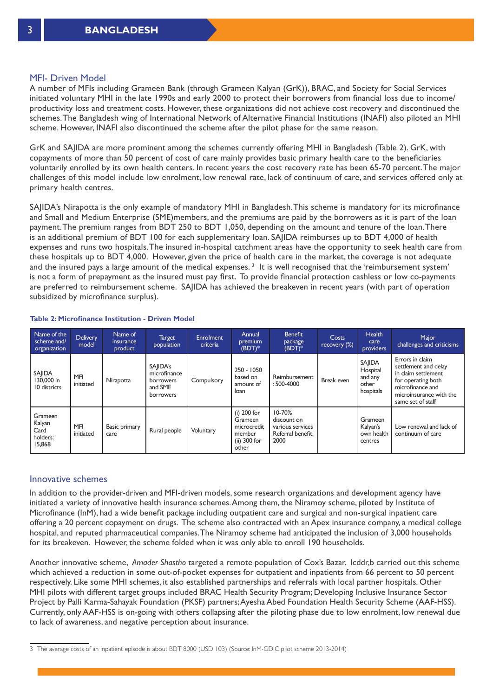#### MFI- Driven Model

A number of MFIs including Grameen Bank (through Grameen Kalyan (GrK)), BRAC, and Society for Social Services initiated voluntary MHI in the late 1990s and early 2000 to protect their borrowers from financial loss due to income/ productivity loss and treatment costs. However, these organizations did not achieve cost recovery and discontinued the schemes. The Bangladesh wing of International Network of Alternative Financial Institutions (INAFI) also piloted an MHI scheme. However, INAFI also discontinued the scheme after the pilot phase for the same reason.

GrK and SAJIDA are more prominent among the schemes currently offering MHI in Bangladesh (Table 2). GrK, with copayments of more than 50 percent of cost of care mainly provides basic primary health care to the beneficiaries voluntarily enrolled by its own health centers. In recent years the cost recovery rate has been 65-70 percent. The major challenges of this model include low enrolment, low renewal rate, lack of continuum of care, and services offered only at primary health centres.

SAJIDA's Nirapotta is the only example of mandatory MHI in Bangladesh. This scheme is mandatory for its microfinance and Small and Medium Enterprise (SME)members, and the premiums are paid by the borrowers as it is part of the loan payment. The premium ranges from BDT 250 to BDT 1,050, depending on the amount and tenure of the loan. There is an additional premium of BDT 100 for each supplementary loan. SAJIDA reimburses up to BDT 4,000 of health expenses and runs two hospitals. The insured in-hospital catchment areas have the opportunity to seek health care from these hospitals up to BDT 4,000. However, given the price of health care in the market, the coverage is not adequate and the insured pays a large amount of the medical expenses.<sup>3</sup> It is well recognised that the 'reimbursement system' is not a form of prepayment as the insured must pay first. To provide financial protection cashless or low co-payments are preferred to reimbursement scheme. SAJIDA has achieved the breakeven in recent years (with part of operation subsidized by microfinance surplus).

| Name of the<br>scheme and/<br>organization      | <b>Delivery</b><br>model | Name of<br>insurance<br>product | Target<br>population                                                        | <b>Enrolment</b><br>criteria | Annual<br>premium<br>$(BDT)*$                                              | <b>Benefit</b><br>package<br>$(BDT)*$                                      | Costs<br>recovery (%) | <b>Health</b><br>care<br>providers                         | Major<br>challenges and criticisms                                                                                                                       |
|-------------------------------------------------|--------------------------|---------------------------------|-----------------------------------------------------------------------------|------------------------------|----------------------------------------------------------------------------|----------------------------------------------------------------------------|-----------------------|------------------------------------------------------------|----------------------------------------------------------------------------------------------------------------------------------------------------------|
| SAJIDA<br>130,000 in<br>10 districts            | MFI<br>initiated         | Nirapotta                       | SAIIDA's<br>microfinance<br><b>borrowers</b><br>and SME<br><b>borrowers</b> | Compulsory                   | 250 - 1050<br>based on<br>amount of<br>loan                                | Reimbursement<br>: 500-4000                                                | Break even            | <b>SAJIDA</b><br>Hospital<br>and any<br>other<br>hospitals | Errors in claim<br>settlement and delay<br>in claim settlement<br>for operating both<br>microfinance and<br>microinsurance with the<br>same set of staff |
| Grameen<br>Kalyan<br>Card<br>holders:<br>15,868 | MFI<br>initiated         | Basic primary<br>care           | Rural people                                                                | Voluntary                    | $(i)$ 200 for<br>Grameen<br>microcredit<br>member<br>(ii) 300 for<br>other | $10 - 70%$<br>discount on<br>various services<br>Referral benefit:<br>2000 |                       | Grameen<br>Kalyan's<br>own health<br>centres               | Low renewal and lack of<br>continuum of care                                                                                                             |

#### **Table 2: Microfinance Institution - Driven Model**

#### Innovative schemes

In addition to the provider-driven and MFI-driven models, some research organizations and development agency have initiated a variety of innovative health insurance schemes. Among them, the Niramoy scheme, piloted by Institute of Microfinance (InM), had a wide benefit package including outpatient care and surgical and non-surgical inpatient care offering a 20 percent copayment on drugs. The scheme also contracted with an Apex insurance company, a medical college hospital, and reputed pharmaceutical companies. The Niramoy scheme had anticipated the inclusion of 3,000 households for its breakeven. However, the scheme folded when it was only able to enroll 190 households.

Another innovative scheme, *Amader Shastho* targeted a remote population of Cox's Bazar. Icddr,b carried out this scheme which achieved a reduction in some out-of-pocket expenses for outpatient and inpatients from 66 percent to 50 percent respectively. Like some MHI schemes, it also established partnerships and referrals with local partner hospitals. Other MHI pilots with different target groups included BRAC Health Security Program; Developing Inclusive Insurance Sector Project by Palli Karma-Sahayak Foundation (PKSF) partners; Ayesha Abed Foundation Health Security Scheme (AAF-HSS). Currently, only AAF-HSS is on-going with others collapsing after the piloting phase due to low enrolment, low renewal due to lack of awareness, and negative perception about insurance.

<sup>3</sup> The average costs of an inpatient episode is about BDT 8000 (USD 103) (Source: InM-GDIC pilot scheme 2013-2014)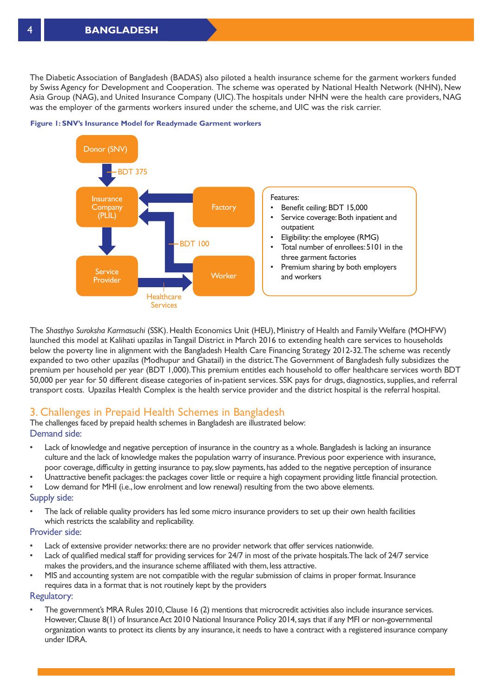The Diabetic Association of Bangladesh (BADAS) also piloted a health insurance scheme for the garment workers funded by Swiss Agency for Development and Cooperation. The scheme was operated by National Health Network (NHN), New Asia Group (NAG), and United Insurance Company (UIC). The hospitals under NHN were the health care providers, NAG was the employer of the garments workers insured under the scheme, and UIC was the risk carrier.



**Figure 1: SNV's Insurance Model for Readymade Garment workers**

The *Shasthyo Suroksha Karmasuchi* (SSK). Health Economics Unit (HEU), Ministry of Health and Family Welfare (MOHFW) launched this model at Kalihati upazilas in Tangail District in March 2016 to extending health care services to households below the poverty line in alignment with the Bangladesh Health Care Financing Strategy 2012-32. The scheme was recently expanded to two other upazilas (Modhupur and Ghatail) in the district. The Government of Bangladesh fully subsidizes the premium per household per year (BDT 1,000). This premium entitles each household to offer healthcare services worth BDT 50,000 per year for 50 different disease categories of in-patient services. SSK pays for drugs, diagnostics, supplies, and referral transport costs. Upazilas Health Complex is the health service provider and the district hospital is the referral hospital.

# 3. Challenges in Prepaid Health Schemes in Bangladesh

The challenges faced by prepaid health schemes in Bangladesh are illustrated below: Demand side:

- Lack of knowledge and negative perception of insurance in the country as a whole. Bangladesh is lacking an insurance culture and the lack of knowledge makes the population warry of insurance. Previous poor experience with insurance, poor coverage, difficulty in getting insurance to pay, slow payments, has added to the negative perception of insurance
- Unattractive benefit packages: the packages cover little or require a high copayment providing little financial protection.
- Low demand for MHI (i.e., low enrolment and low renewal) resulting from the two above elements.

#### Supply side:

• The lack of reliable quality providers has led some micro insurance providers to set up their own health facilities which restricts the scalability and replicability.

#### Provider side:

- Lack of extensive provider networks: there are no provider network that offer services nationwide.
- Lack of qualified medical staff for providing services for 24/7 in most of the private hospitals. The lack of 24/7 service makes the providers, and the insurance scheme affiliated with them, less attractive.
- MIS and accounting system are not compatible with the regular submission of claims in proper format. Insurance requires data in a format that is not routinely kept by the providers

#### Regulatory:

• The government's MRA Rules 2010, Clause 16 (2) mentions that microcredit activities also include insurance services. However, Clause 8(1) of Insurance Act 2010 National Insurance Policy 2014, says that if any MFI or non-governmental organization wants to protect its clients by any insurance, it needs to have a contract with a registered insurance company under IDRA.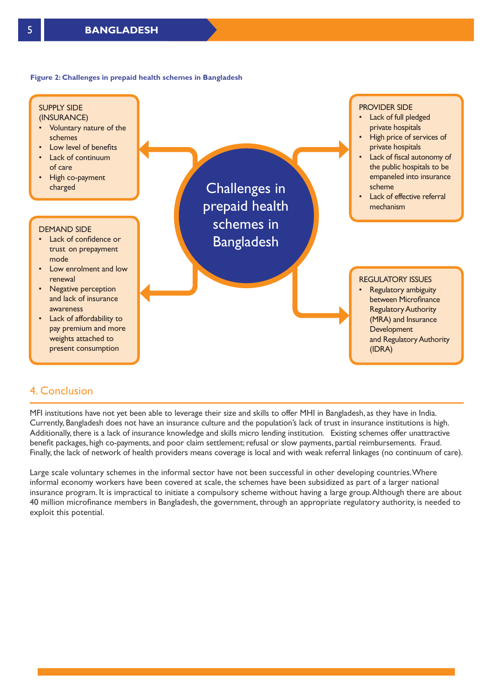#### **Figure 2: Challenges in prepaid health schemes in Bangladesh**



# 4. Conclusion

MFI institutions have not yet been able to leverage their size and skills to offer MHI in Bangladesh, as they have in India. Currently, Bangladesh does not have an insurance culture and the population's lack of trust in insurance institutions is high. Additionally, there is a lack of insurance knowledge and skills micro lending institution. Existing schemes offer unattractive benefit packages, high co-payments, and poor claim settlement; refusal or slow payments, partial reimbursements. Fraud. Finally, the lack of network of health providers means coverage is local and with weak referral linkages (no continuum of care).

Large scale voluntary schemes in the informal sector have not been successful in other developing countries. Where informal economy workers have been covered at scale, the schemes have been subsidized as part of a larger national insurance program. It is impractical to initiate a compulsory scheme without having a large group. Although there are about 40 million microfinance members in Bangladesh, the government, through an appropriate regulatory authority, is needed to exploit this potential.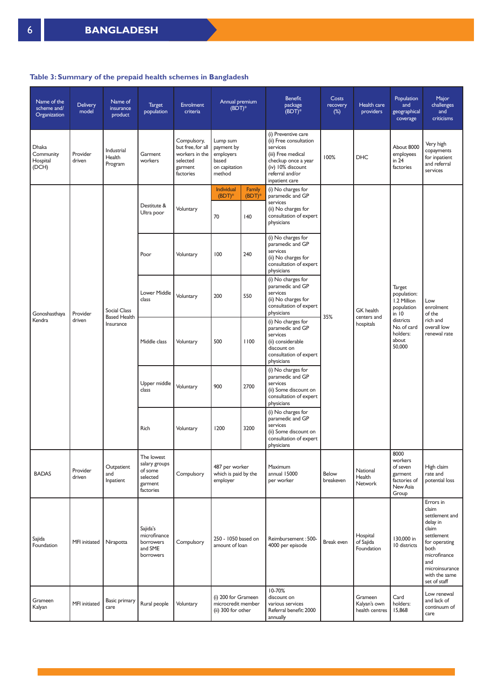#### **Table 3: Summary of the prepaid health schemes in Bangladesh**

| Name of the<br>scheme and/<br>Organization | <b>Delivery</b><br>model | Name of<br>insurance<br>product                         | <b>Target</b><br>population                                                | <b>Enrolment</b><br>criteria                                                           | Annual premium<br>$(BDT)*$                                              |                     | Benefit<br>package<br>$(BDT)*$                                                                                                                                   | Costs<br>recovery<br>$(\%)$ | Health care<br>providers                  | Population<br>and<br>geographical<br>coverage                                                                            | Major<br>challenges<br>and<br>criticisms                                                                                                                                   |
|--------------------------------------------|--------------------------|---------------------------------------------------------|----------------------------------------------------------------------------|----------------------------------------------------------------------------------------|-------------------------------------------------------------------------|---------------------|------------------------------------------------------------------------------------------------------------------------------------------------------------------|-----------------------------|-------------------------------------------|--------------------------------------------------------------------------------------------------------------------------|----------------------------------------------------------------------------------------------------------------------------------------------------------------------------|
| Dhaka<br>Community<br>Hospital<br>(DCH)    | Provider<br>driven       | Industrial<br>Health<br>Program                         | Garment<br>workers                                                         | Compulsory,<br>but free, for all<br>workers in the<br>selected<br>garment<br>factories | Lump sum<br>payment by<br>employers<br>based<br>on capitation<br>method |                     | (i) Preventive care<br>(ii) Free consultation<br>services<br>(iii) Free medical<br>checkup once a year<br>(iv) 10% discount<br>referral and/or<br>inpatient care | 100%                        | <b>DHC</b>                                | About 8000<br>employees<br>in $24$<br>factories                                                                          | Very high<br>copayments<br>for inpatient<br>and referral<br>services                                                                                                       |
|                                            |                          |                                                         |                                                                            |                                                                                        | Individual<br>$(BDT)*$                                                  | Family<br>$(BDT)^*$ | (i) No charges for<br>paramedic and GP                                                                                                                           |                             |                                           |                                                                                                                          |                                                                                                                                                                            |
| Gonoshasthaya<br>Kendra                    | Provider<br>driven       | <b>Social Class</b><br><b>Based Health</b><br>Insurance | Destitute &<br>Ultra poor                                                  | Voluntary                                                                              | 70                                                                      | 140                 | services<br>(ii) No charges for<br>consultation of expert<br>physicians                                                                                          | 35%                         | GK health<br>centers and<br>hospitals     | Target<br>population:<br>1.2 Million<br>population<br>$in$ 10<br>districts<br>No. of card<br>holders:<br>about<br>50,000 | Low<br>enrolment<br>of the<br>rich and<br>overall low<br>renewal rate                                                                                                      |
|                                            |                          |                                                         | Poor                                                                       | Voluntary                                                                              | 100                                                                     | 240                 | (i) No charges for<br>paramedic and GP<br>services<br>(ii) No charges for<br>consultation of expert<br>physicians                                                |                             |                                           |                                                                                                                          |                                                                                                                                                                            |
|                                            |                          |                                                         | Lower Middle<br>class                                                      | Voluntary                                                                              | 200                                                                     | 550                 | (i) No charges for<br>paramedic and GP<br>services<br>(ii) No charges for<br>consultation of expert<br>physicians                                                |                             |                                           |                                                                                                                          |                                                                                                                                                                            |
|                                            |                          |                                                         | Middle class                                                               | Voluntary                                                                              | 500                                                                     | 1100                | (i) No charges for<br>paramedic and GP<br>services<br>(ii) considerable<br>discount on<br>consultation of expert<br>physicians                                   |                             |                                           |                                                                                                                          |                                                                                                                                                                            |
|                                            |                          |                                                         | Upper middle<br>class                                                      | Voluntary                                                                              | 900                                                                     | 2700                | (i) No charges for<br>paramedic and GP<br>services<br>(ii) Some discount on<br>consultation of expert<br>physicians                                              |                             |                                           |                                                                                                                          |                                                                                                                                                                            |
|                                            |                          |                                                         | Rich                                                                       | Voluntary                                                                              | 1200                                                                    | 3200                | (i) No charges for<br>paramedic and GP<br>services<br>(ii) Some discount on<br>consultation of expert<br>physicians                                              |                             |                                           |                                                                                                                          |                                                                                                                                                                            |
| <b>BADAS</b>                               | Provider<br>driven       | Outpatient<br>and<br>Inpatient                          | The lowest<br>salary groups<br>of some<br>selected<br>garment<br>factories | Compulsory                                                                             | 487 per worker<br>which is paid by the<br>employer                      |                     | Maximum<br>annual 15000<br>per worker                                                                                                                            | Below<br>breakeven          | National<br>Health<br>Network             | 8000<br>workers<br>of seven<br>garment<br>factories of<br>New Asia<br>Group                                              | High claim<br>rate and<br>potential loss                                                                                                                                   |
| Sajida<br>Foundation                       | MFI initiated            | Nirapotta                                               | Sajida's<br>microfinance<br>borrowers<br>and SME<br>borrowers              | Compulsory                                                                             | 250 - 1050 based on<br>amount of loan                                   |                     | Reimbursement: 500-<br>4000 per episode                                                                                                                          | Break even                  | Hospital<br>of Sajida<br>Foundation       | 130,000 in<br>10 districts                                                                                               | Errors in<br>claim<br>settlement and<br>delay in<br>claim<br>settlement<br>for operating<br>both<br>microfinance<br>and<br>microinsurance<br>with the same<br>set of staff |
| Grameen<br>Kalyan                          | MFI initiated            | <b>Basic primary</b><br>care                            | Rural people                                                               | Voluntary                                                                              | (i) 200 for Grameen<br>microcredit member<br>(ii) 300 for other         |                     | 10-70%<br>discount on<br>various services<br>Referral benefit: 2000<br>annually                                                                                  |                             | Grameen<br>Kalyan's own<br>health centres | Card<br>holders:<br>15,868                                                                                               | Low renewal<br>and lack of<br>continuum of<br>care                                                                                                                         |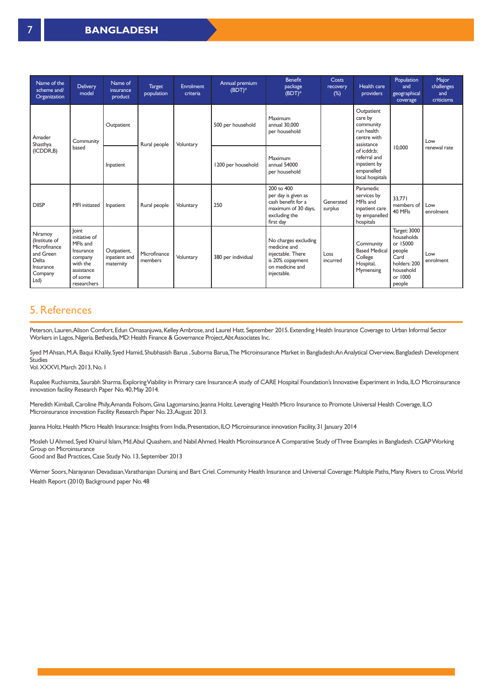| Name of the<br>scheme and/<br>Organization                                                     | <b>Delivery</b><br>model                                                                                       | Name of<br>insurance<br>product           | <b>Target</b><br>population | <b>Enrolment</b><br>criteria | Annual premium<br>$(BDT)*$ | <b>Benefit</b><br>package<br>$(BDT)*$                                                                           | Costs<br>recovery<br>$(\%)$ | Health care<br>providers                                                             | Population<br>and<br>geographical<br>coverage                                                              | Major<br>challenges<br>and<br>criticisms |
|------------------------------------------------------------------------------------------------|----------------------------------------------------------------------------------------------------------------|-------------------------------------------|-----------------------------|------------------------------|----------------------------|-----------------------------------------------------------------------------------------------------------------|-----------------------------|--------------------------------------------------------------------------------------|------------------------------------------------------------------------------------------------------------|------------------------------------------|
| Amader<br>Shasthya<br>(ICDDR,B)                                                                | Community<br>based                                                                                             | Outpatient                                | Rural people                | Voluntary                    | 500 per household          | Maximum<br>annual 30,000<br>per household                                                                       |                             | Outpatient<br>care by<br>community<br>run health<br>centre with<br>assistance        |                                                                                                            | Low                                      |
|                                                                                                |                                                                                                                | Inpatient                                 |                             |                              | 1200 per household         | Maximum<br>annual 54000<br>per household                                                                        |                             | of icddr.b:<br>referral and<br>inpatient by<br>empanelled<br>local hospitals         | 10,000                                                                                                     | renewal rate                             |
| <b>DIISP</b>                                                                                   | <b>MFI</b> initiated                                                                                           | Inpatient                                 | Rural people                | Voluntary                    | 250                        | 200 to 400<br>per day is given as<br>cash benefit for a<br>maximum of 30 days,<br>excluding the<br>first day    | Generated<br>surplus        | Paramedic<br>services by<br>MFIs and<br>inpatient care<br>by empanelled<br>hospitals | 33.771<br>members of<br>40 MFIs                                                                            | Low<br>enrolment                         |
| Niramoy<br>(Institute of<br>Microfinance<br>and Green<br>Delta<br>Insurance<br>Company<br>Ltd) | loint<br>initiative of<br>MFIs and<br>Insurance<br>company<br>with the<br>assistance<br>of some<br>researchers | Outpatient,<br>inpatient and<br>maternity | Microfinance<br>members     | Voluntary                    | 380 per individual         | No charges excluding<br>medicine and<br>injectable. There<br>is 20% copayment<br>on medicine and<br>injectable. | Loss<br>incurred            | Community<br><b>Based Medical</b><br>College<br>Hospital,<br>Mymensing               | Target: 3000<br>households<br>or 15000<br>people<br>Card<br>holders: 200<br>household<br>or 1000<br>people | Low<br>enrolment                         |

## 5. References

Peterson, Lauren, Alison Comfort, Edun Omasanjuwa, Kelley Ambrose, and Laurel Hatt. September 2015. Extending Health Insurance Coverage to Urban Informal Sector Workers in Lagos, Nigeria. Bethesda, MD: Health Finance & Governance Project, Abt Associates Inc.

Syed M Ahsan, M.A. Baqui Khalily, Syed Hamid, Shubhasish Barua, Suborna Barua, The Microinsurance Market in Bangladesh: An Analytical Overview, Bangladesh Development **Studies** 

Vol. XXXVI, March 2013, No. 1

Rupalee Ruchismita, Saurabh Sharma. Exploring Viability in Primary care Insurance: A study of CARE Hospital Foundation's Innovative Experiment in India, ILO Microinsurance innovation facility Research Paper No. 40, May 2014.

Meredith Kimball, Caroline Phily, Amanda Folsom, Gina Lagomarsino, Jeanna Holtz. Leveraging Health Micro Insurance to Promote Universal Health Coverage, ILO Microinsurance innovation Facility Research Paper No. 23, August 2013.

Jeanna Holtz. Health Micro Health Insurance: Insights from India, Presentation, ILO Microinsurance innovation Facility, 31 January 2014

Mosleh U Ahmed, Syed Khairul Islam, Md. Abul Quashem, and Nabil Ahmed. Health Microinsurance A Comparative Study of Three Examples in Bangladesh. CGAP Working Group on Microinsurance Good and Bad Practices, Case Study No. 13, September 2013

Werner Soors, Narayanan Devadasan, Varatharajan Durairaj and Bart Criel. Community Health Insurance and Universal Coverage: Multiple Paths, Many Rivers to Cross. World Health Report (2010) Background paper No. 48